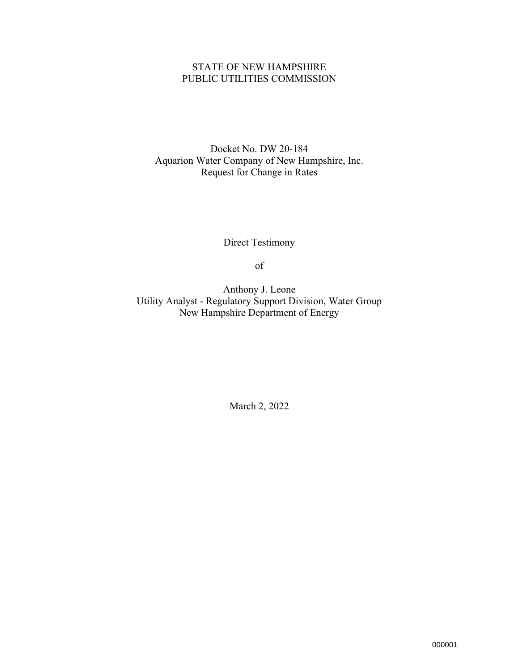## STATE OF NEW HAMPSHIRE PUBLIC UTILITIES COMMISSION

Docket No. DW 20-184 Aquarion Water Company of New Hampshire, Inc. Request for Change in Rates

Direct Testimony

of

Anthony J. Leone Utility Analyst - Regulatory Support Division, Water Group New Hampshire Department of Energy

March 2, 2022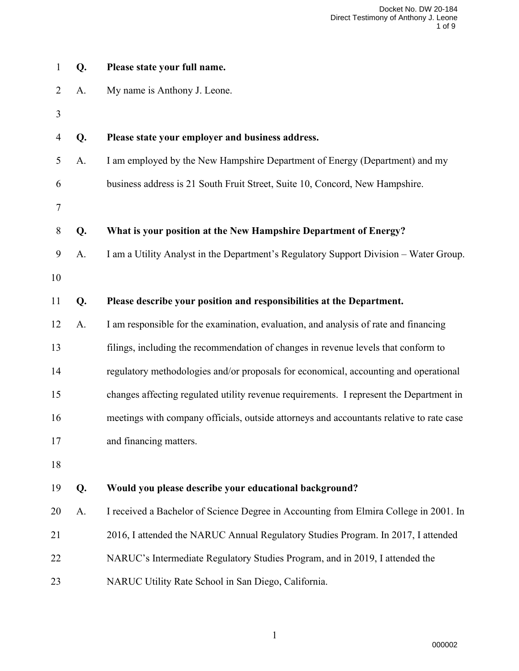| $\mathbf{1}$   | Q. | Please state your full name.                                                             |
|----------------|----|------------------------------------------------------------------------------------------|
| $\overline{2}$ | A. | My name is Anthony J. Leone.                                                             |
| 3              |    |                                                                                          |
| $\overline{4}$ | Q. | Please state your employer and business address.                                         |
| 5              | A. | I am employed by the New Hampshire Department of Energy (Department) and my              |
| 6              |    | business address is 21 South Fruit Street, Suite 10, Concord, New Hampshire.             |
| 7              |    |                                                                                          |
| 8              | Q. | What is your position at the New Hampshire Department of Energy?                         |
| 9              | A. | I am a Utility Analyst in the Department's Regulatory Support Division – Water Group.    |
| 10             |    |                                                                                          |
| 11             | Q. | Please describe your position and responsibilities at the Department.                    |
| 12             | A. | I am responsible for the examination, evaluation, and analysis of rate and financing     |
| 13             |    | filings, including the recommendation of changes in revenue levels that conform to       |
| 14             |    | regulatory methodologies and/or proposals for economical, accounting and operational     |
| 15             |    | changes affecting regulated utility revenue requirements. I represent the Department in  |
| 16             |    | meetings with company officials, outside attorneys and accountants relative to rate case |
| 17             |    | and financing matters.                                                                   |
| 18             |    |                                                                                          |
| 19             | Q. | Would you please describe your educational background?                                   |
| 20             | A. | I received a Bachelor of Science Degree in Accounting from Elmira College in 2001. In    |
| 21             |    | 2016, I attended the NARUC Annual Regulatory Studies Program. In 2017, I attended        |
| 22             |    | NARUC's Intermediate Regulatory Studies Program, and in 2019, I attended the             |
| 23             |    | NARUC Utility Rate School in San Diego, California.                                      |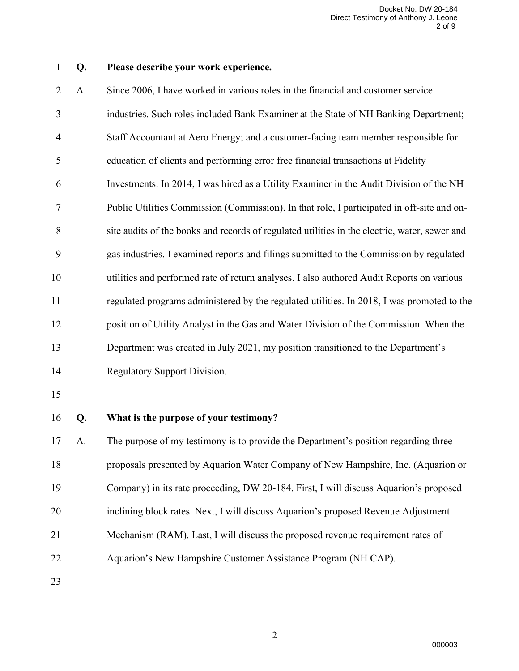## **Q. Please describe your work experience.**

| $\overline{2}$ | A. | Since 2006, I have worked in various roles in the financial and customer service              |
|----------------|----|-----------------------------------------------------------------------------------------------|
| 3              |    | industries. Such roles included Bank Examiner at the State of NH Banking Department;          |
| $\overline{4}$ |    | Staff Accountant at Aero Energy; and a customer-facing team member responsible for            |
| 5              |    | education of clients and performing error free financial transactions at Fidelity             |
| 6              |    | Investments. In 2014, I was hired as a Utility Examiner in the Audit Division of the NH       |
| 7              |    | Public Utilities Commission (Commission). In that role, I participated in off-site and on-    |
| 8              |    | site audits of the books and records of regulated utilities in the electric, water, sewer and |
| 9              |    | gas industries. I examined reports and filings submitted to the Commission by regulated       |
| 10             |    | utilities and performed rate of return analyses. I also authored Audit Reports on various     |
| 11             |    | regulated programs administered by the regulated utilities. In 2018, I was promoted to the    |
| 12             |    | position of Utility Analyst in the Gas and Water Division of the Commission. When the         |
| 13             |    | Department was created in July 2021, my position transitioned to the Department's             |
| 14             |    | Regulatory Support Division.                                                                  |
| 15             |    |                                                                                               |
| 16             | Q. | What is the purpose of your testimony?                                                        |
| 17             | А. | The purpose of my testimony is to provide the Department's position regarding three           |

 proposals presented by Aquarion Water Company of New Hampshire, Inc. (Aquarion or Company) in its rate proceeding, DW 20-184. First, I will discuss Aquarion's proposed inclining block rates. Next, I will discuss Aquarion's proposed Revenue Adjustment Mechanism (RAM). Last, I will discuss the proposed revenue requirement rates of Aquarion's New Hampshire Customer Assistance Program (NH CAP).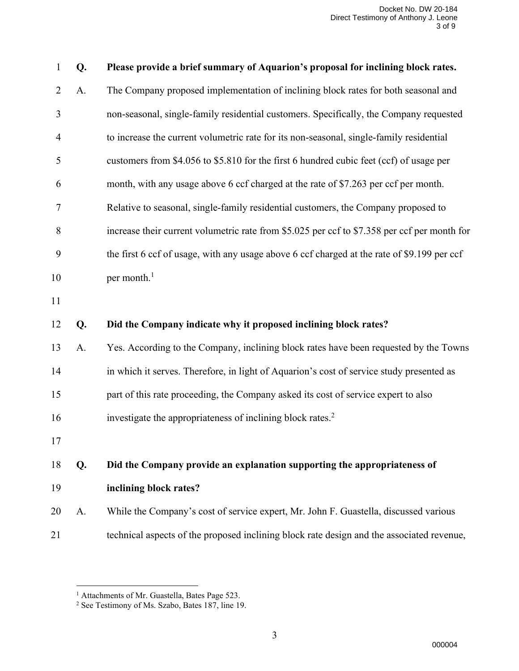| $\mathbf{1}$   | Q. | Please provide a brief summary of Aquarion's proposal for inclining block rates.             |
|----------------|----|----------------------------------------------------------------------------------------------|
| $\overline{2}$ | A. | The Company proposed implementation of inclining block rates for both seasonal and           |
| 3              |    | non-seasonal, single-family residential customers. Specifically, the Company requested       |
| $\overline{4}$ |    | to increase the current volumetric rate for its non-seasonal, single-family residential      |
| 5              |    | customers from \$4.056 to \$5.810 for the first 6 hundred cubic feet (ccf) of usage per      |
| 6              |    | month, with any usage above 6 ccf charged at the rate of \$7.263 per ccf per month.          |
| $\overline{7}$ |    | Relative to seasonal, single-family residential customers, the Company proposed to           |
| 8              |    | increase their current volumetric rate from \$5.025 per ccf to \$7.358 per ccf per month for |
| 9              |    | the first 6 ccf of usage, with any usage above 6 ccf charged at the rate of \$9.199 per ccf  |
| 10             |    | per month. $1$                                                                               |
| 11             |    |                                                                                              |
| 12             | Q. | Did the Company indicate why it proposed inclining block rates?                              |
| 13             | A. | Yes. According to the Company, inclining block rates have been requested by the Towns        |
| 14             |    | in which it serves. Therefore, in light of Aquarion's cost of service study presented as     |
| 15             |    | part of this rate proceeding, the Company asked its cost of service expert to also           |
| 16             |    | investigate the appropriateness of inclining block rates. <sup>2</sup>                       |
| 17             |    |                                                                                              |
| 18             | Q. | Did the Company provide an explanation supporting the appropriateness of                     |
| 19             |    | inclining block rates?                                                                       |
| 20             | A. | While the Company's cost of service expert, Mr. John F. Guastella, discussed various         |
| 21             |    | technical aspects of the proposed inclining block rate design and the associated revenue,    |

<sup>&</sup>lt;sup>1</sup> Attachments of Mr. Guastella, Bates Page 523.

<sup>&</sup>lt;sup>2</sup> See Testimony of Ms. Szabo, Bates 187, line 19.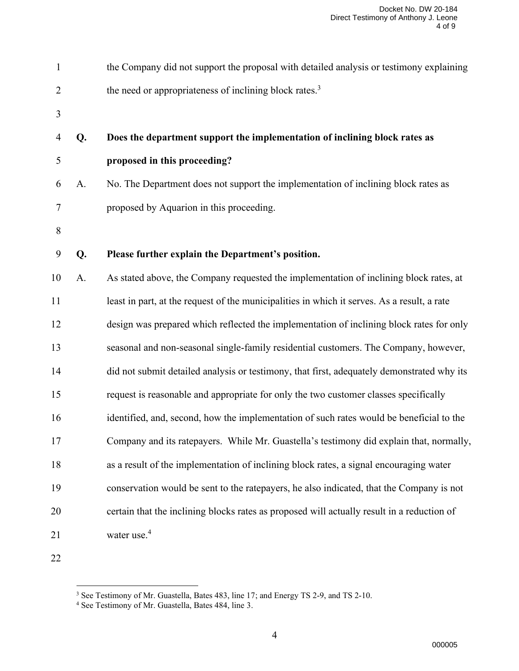| $\mathbf{1}$   |    | the Company did not support the proposal with detailed analysis or testimony explaining     |
|----------------|----|---------------------------------------------------------------------------------------------|
| $\overline{2}$ |    | the need or appropriateness of inclining block rates. <sup>3</sup>                          |
| 3              |    |                                                                                             |
| $\overline{4}$ | Q. | Does the department support the implementation of inclining block rates as                  |
| 5              |    | proposed in this proceeding?                                                                |
| 6              | A. | No. The Department does not support the implementation of inclining block rates as          |
| 7              |    | proposed by Aquarion in this proceeding.                                                    |
| 8              |    |                                                                                             |
| 9              | Q. | Please further explain the Department's position.                                           |
| 10             | A. | As stated above, the Company requested the implementation of inclining block rates, at      |
| 11             |    | least in part, at the request of the municipalities in which it serves. As a result, a rate |
| 12             |    | design was prepared which reflected the implementation of inclining block rates for only    |
| 13             |    | seasonal and non-seasonal single-family residential customers. The Company, however,        |
| 14             |    | did not submit detailed analysis or testimony, that first, adequately demonstrated why its  |
| 15             |    | request is reasonable and appropriate for only the two customer classes specifically        |
| 16             |    | identified, and, second, how the implementation of such rates would be beneficial to the    |
| 17             |    | Company and its ratepayers. While Mr. Guastella's testimony did explain that, normally,     |
| 18             |    | as a result of the implementation of inclining block rates, a signal encouraging water      |
| 19             |    | conservation would be sent to the ratepayers, he also indicated, that the Company is not    |
| 20             |    | certain that the inclining blocks rates as proposed will actually result in a reduction of  |
| 21             |    | water use. <sup>4</sup>                                                                     |
| $\sim$         |    |                                                                                             |

See Testimony of Mr. Guastella, Bates 483, line 17; and Energy TS 2-9, and TS 2-10.

<sup>&</sup>lt;sup>4</sup> See Testimony of Mr. Guastella, Bates 484, line 3.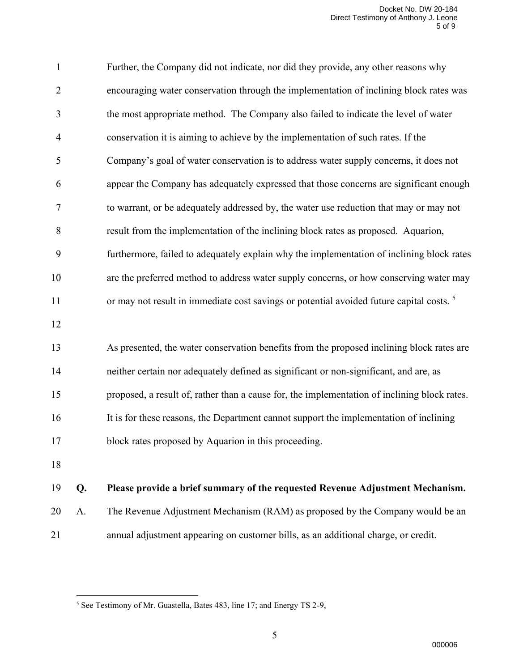| $\mathbf{1}$   |    | Further, the Company did not indicate, nor did they provide, any other reasons why                  |
|----------------|----|-----------------------------------------------------------------------------------------------------|
| $\overline{2}$ |    | encouraging water conservation through the implementation of inclining block rates was              |
| 3              |    | the most appropriate method. The Company also failed to indicate the level of water                 |
| 4              |    | conservation it is aiming to achieve by the implementation of such rates. If the                    |
| 5              |    | Company's goal of water conservation is to address water supply concerns, it does not               |
| 6              |    | appear the Company has adequately expressed that those concerns are significant enough              |
| 7              |    | to warrant, or be adequately addressed by, the water use reduction that may or may not              |
| 8              |    | result from the implementation of the inclining block rates as proposed. Aquarion,                  |
| 9              |    | furthermore, failed to adequately explain why the implementation of inclining block rates           |
| 10             |    | are the preferred method to address water supply concerns, or how conserving water may              |
| 11             |    | or may not result in immediate cost savings or potential avoided future capital costs. <sup>5</sup> |
| 12             |    |                                                                                                     |
| 13             |    | As presented, the water conservation benefits from the proposed inclining block rates are           |
| 14             |    | neither certain nor adequately defined as significant or non-significant, and are, as               |
| 15             |    | proposed, a result of, rather than a cause for, the implementation of inclining block rates.        |
| 16             |    | It is for these reasons, the Department cannot support the implementation of inclining              |
| 17             |    | block rates proposed by Aquarion in this proceeding.                                                |
| 18             |    |                                                                                                     |
| 19             | Q. | Please provide a brief summary of the requested Revenue Adjustment Mechanism.                       |
| 20             | A. | The Revenue Adjustment Mechanism (RAM) as proposed by the Company would be an                       |
|                |    |                                                                                                     |

annual adjustment appearing on customer bills, as an additional charge, or credit.

See Testimony of Mr. Guastella, Bates 483, line 17; and Energy TS 2-9,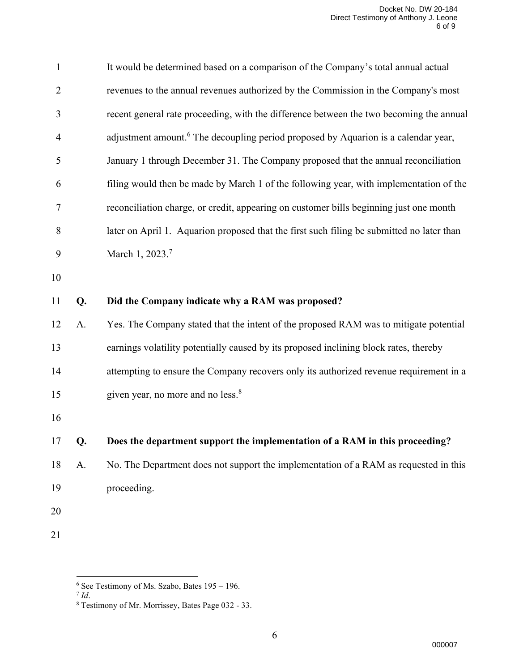| $\mathbf{1}$   |    | It would be determined based on a comparison of the Company's total annual actual              |
|----------------|----|------------------------------------------------------------------------------------------------|
| $\overline{2}$ |    | revenues to the annual revenues authorized by the Commission in the Company's most             |
| 3              |    | recent general rate proceeding, with the difference between the two becoming the annual        |
| 4              |    | adjustment amount. <sup>6</sup> The decoupling period proposed by Aquarion is a calendar year, |
| 5              |    | January 1 through December 31. The Company proposed that the annual reconciliation             |
| 6              |    | filing would then be made by March 1 of the following year, with implementation of the         |
| 7              |    | reconciliation charge, or credit, appearing on customer bills beginning just one month         |
| 8              |    | later on April 1. Aquarion proposed that the first such filing be submitted no later than      |
| 9              |    | March 1, 2023.7                                                                                |
| 10             |    |                                                                                                |
| 11             | Q. | Did the Company indicate why a RAM was proposed?                                               |
| 12             | A. | Yes. The Company stated that the intent of the proposed RAM was to mitigate potential          |
|                |    |                                                                                                |
| 13             |    | earnings volatility potentially caused by its proposed inclining block rates, thereby          |
| 14             |    | attempting to ensure the Company recovers only its authorized revenue requirement in a         |
| 15             |    | given year, no more and no less. <sup>8</sup>                                                  |
| 16             |    |                                                                                                |
| 17             | Q. | Does the department support the implementation of a RAM in this proceeding?                    |
| 18             | A. | No. The Department does not support the implementation of a RAM as requested in this           |
| 19             |    | proceeding.                                                                                    |
| 20             |    |                                                                                                |

See Testimony of Ms. Szabo, Bates 195 – 196. 7 *Id*.

Testimony of Mr. Morrissey, Bates Page 032 - 33.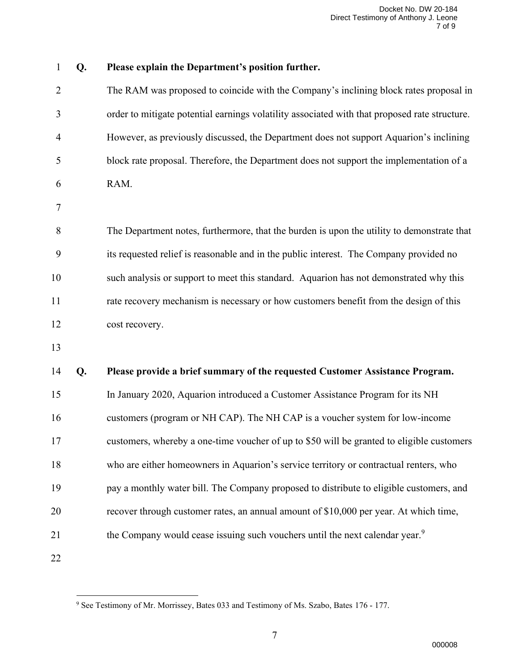```
1 Q. Please explain the Department's position further.
 2 The RAM was proposed to coincide with the Company's inclining block rates proposal in 
 3 order to mitigate potential earnings volatility associated with that proposed rate structure. 
 4 However, as previously discussed, the Department does not support Aquarion's inclining 
 5 block rate proposal. Therefore, the Department does not support the implementation of a
 6 RAM. 
 7
 8 The Department notes, furthermore, that the burden is upon the utility to demonstrate that 
 9 its requested relief is reasonable and in the public interest. The Company provided no 
10 such analysis or support to meet this standard. Aquarion has not demonstrated why this 
11 rate recovery mechanism is necessary or how customers benefit from the design of this 
12 cost recovery.
13
14 Q. Please provide a brief summary of the requested Customer Assistance Program.
15 In January 2020, Aquarion introduced a Customer Assistance Program for its NH
16 customers (program or NH CAP). The NH CAP is a voucher system for low-income 
17 customers, whereby a one-time voucher of up to $50 will be granted to eligible customers 
18 who are either homeowners in Aquarion's service territory or contractual renters, who 
19 pay a monthly water bill. The Company proposed to distribute to eligible customers, and 
20 recover through customer rates, an annual amount of $10,000 per year. At which time,
            the Company would cease issuing such vouchers until the next calendar year.<sup>9</sup>
21
22
```
<sup>&</sup>lt;sup>9</sup> See Testimony of Mr. Morrissey, Bates 033 and Testimony of Ms. Szabo, Bates 176 - 177.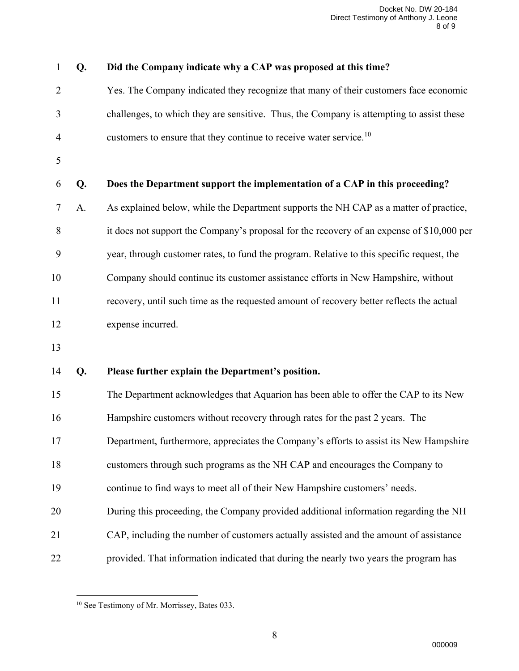| 1              | Q. | Did the Company indicate why a CAP was proposed at this time?                             |
|----------------|----|-------------------------------------------------------------------------------------------|
| $\overline{2}$ |    | Yes. The Company indicated they recognize that many of their customers face economic      |
| 3              |    | challenges, to which they are sensitive. Thus, the Company is attempting to assist these  |
| 4              |    | customers to ensure that they continue to receive water service. <sup>10</sup>            |
| 5              |    |                                                                                           |
| 6              | Q. | Does the Department support the implementation of a CAP in this proceeding?               |
| 7              | A. | As explained below, while the Department supports the NH CAP as a matter of practice,     |
| 8              |    | it does not support the Company's proposal for the recovery of an expense of \$10,000 per |
| 9              |    | year, through customer rates, to fund the program. Relative to this specific request, the |
| 10             |    | Company should continue its customer assistance efforts in New Hampshire, without         |
| 11             |    | recovery, until such time as the requested amount of recovery better reflects the actual  |
| 12             |    | expense incurred.                                                                         |
| 13             |    |                                                                                           |
| 14             | Q. | Please further explain the Department's position.                                         |
| 15             |    | The Department acknowledges that Aquarion has been able to offer the CAP to its New       |
| 16             |    | Hampshire customers without recovery through rates for the past 2 years. The              |
| 17             |    | Department, furthermore, appreciates the Company's efforts to assist its New Hampshire    |
| 18             |    | customers through such programs as the NH CAP and encourages the Company to               |
| 19             |    | continue to find ways to meet all of their New Hampshire customers' needs.                |
| 20             |    | During this proceeding, the Company provided additional information regarding the NH      |
| 21             |    | CAP, including the number of customers actually assisted and the amount of assistance     |
| 22             |    | provided. That information indicated that during the nearly two years the program has     |

<sup>&</sup>lt;sup>10</sup> See Testimony of Mr. Morrissey, Bates 033.